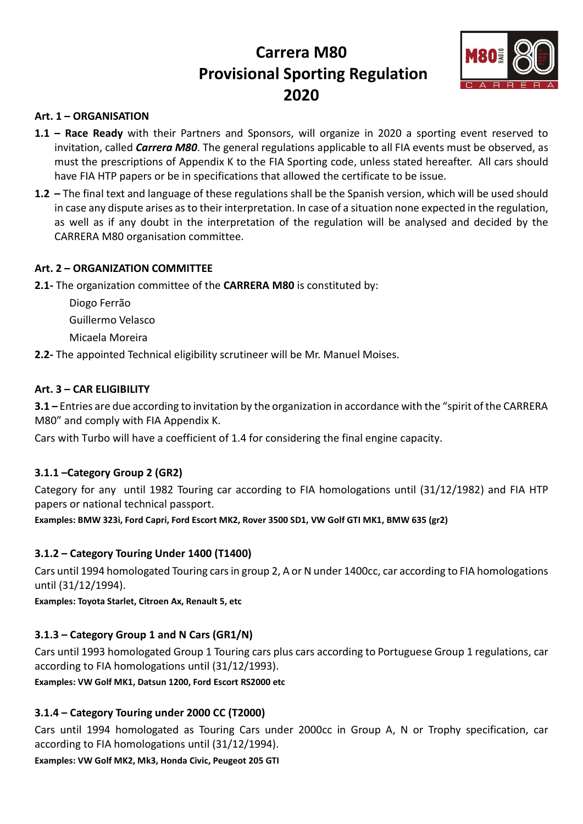# Carrera M80 Provisional Sporting Regulation 2020



## Art. 1 – ORGANISATION

- 1.1 Race Ready with their Partners and Sponsors, will organize in 2020 a sporting event reserved to invitation, called *Carrera M80*. The general regulations applicable to all FIA events must be observed, as must the prescriptions of Appendix K to the FIA Sporting code, unless stated hereafter. All cars should have FIA HTP papers or be in specifications that allowed the certificate to be issue.
- 1.2 The final text and language of these regulations shall be the Spanish version, which will be used should in case any dispute arises as to their interpretation. In case of a situation none expected in the regulation, as well as if any doubt in the interpretation of the regulation will be analysed and decided by the CARRERA M80 organisation committee.

## Art. 2 – ORGANIZATION COMMITTEE

2.1- The organization committee of the CARRERA M80 is constituted by:

- Diogo Ferrão Guillermo Velasco Micaela Moreira
- 2.2- The appointed Technical eligibility scrutineer will be Mr. Manuel Moises.

## Art. 3 – CAR ELIGIBILITY

3.1 – Entries are due according to invitation by the organization in accordance with the "spirit of the CARRERA M80" and comply with FIA Appendix K.

Cars with Turbo will have a coefficient of 1.4 for considering the final engine capacity.

#### 3.1.1 –Category Group 2 (GR2)

Category for any until 1982 Touring car according to FIA homologations until (31/12/1982) and FIA HTP papers or national technical passport.

Examples: BMW 323i, Ford Capri, Ford Escort MK2, Rover 3500 SD1, VW Golf GTI MK1, BMW 635 (gr2)

## 3.1.2 – Category Touring Under 1400 (T1400)

Cars until 1994 homologated Touring cars in group 2, A or N under 1400cc, car according to FIA homologations until (31/12/1994).

Examples: Toyota Starlet, Citroen Ax, Renault 5, etc

## 3.1.3 – Category Group 1 and N Cars (GR1/N)

Cars until 1993 homologated Group 1 Touring cars plus cars according to Portuguese Group 1 regulations, car according to FIA homologations until (31/12/1993).

Examples: VW Golf MK1, Datsun 1200, Ford Escort RS2000 etc

## 3.1.4 – Category Touring under 2000 CC (T2000)

Cars until 1994 homologated as Touring Cars under 2000cc in Group A, N or Trophy specification, car according to FIA homologations until (31/12/1994).

Examples: VW Golf MK2, Mk3, Honda Civic, Peugeot 205 GTI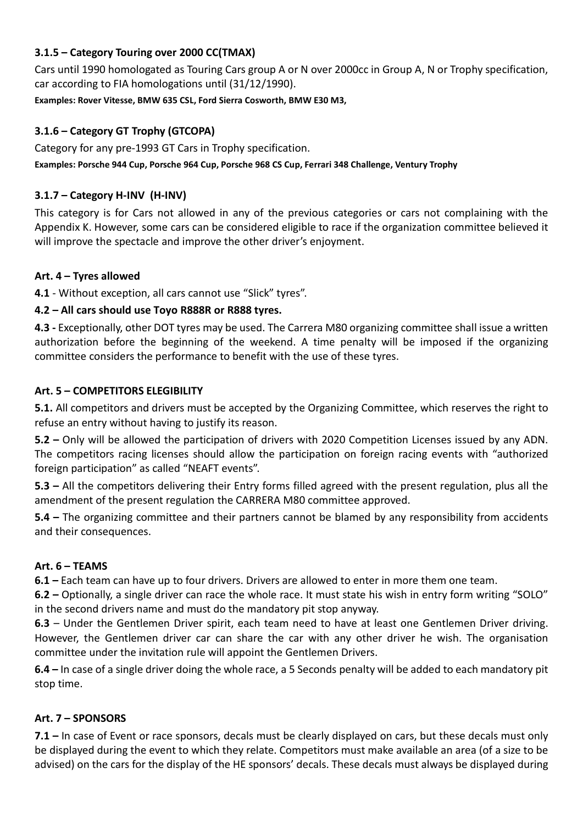# 3.1.5 – Category Touring over 2000 CC(TMAX)

Cars until 1990 homologated as Touring Cars group A or N over 2000cc in Group A, N or Trophy specification, car according to FIA homologations until (31/12/1990).

Examples: Rover Vitesse, BMW 635 CSL, Ford Sierra Cosworth, BMW E30 M3,

# 3.1.6 – Category GT Trophy (GTCOPA)

Category for any pre-1993 GT Cars in Trophy specification. Examples: Porsche 944 Cup, Porsche 964 Cup, Porsche 968 CS Cup, Ferrari 348 Challenge, Ventury Trophy

# 3.1.7 – Category H-INV (H-INV)

This category is for Cars not allowed in any of the previous categories or cars not complaining with the Appendix K. However, some cars can be considered eligible to race if the organization committee believed it will improve the spectacle and improve the other driver's enjoyment.

## Art. 4 – Tyres allowed

4.1 - Without exception, all cars cannot use "Slick" tyres".

## 4.2 – All cars should use Toyo R888R or R888 tyres.

4.3 - Exceptionally, other DOT tyres may be used. The Carrera M80 organizing committee shall issue a written authorization before the beginning of the weekend. A time penalty will be imposed if the organizing committee considers the performance to benefit with the use of these tyres.

## Art. 5 – COMPETITORS ELEGIBILITY

5.1. All competitors and drivers must be accepted by the Organizing Committee, which reserves the right to refuse an entry without having to justify its reason.

5.2 – Only will be allowed the participation of drivers with 2020 Competition Licenses issued by any ADN. The competitors racing licenses should allow the participation on foreign racing events with "authorized foreign participation" as called "NEAFT events".

5.3 – All the competitors delivering their Entry forms filled agreed with the present regulation, plus all the amendment of the present regulation the CARRERA M80 committee approved.

5.4 – The organizing committee and their partners cannot be blamed by any responsibility from accidents and their consequences.

#### Art. 6 – TEAMS

6.1 – Each team can have up to four drivers. Drivers are allowed to enter in more them one team.

6.2 – Optionally, a single driver can race the whole race. It must state his wish in entry form writing "SOLO" in the second drivers name and must do the mandatory pit stop anyway.

6.3 – Under the Gentlemen Driver spirit, each team need to have at least one Gentlemen Driver driving. However, the Gentlemen driver car can share the car with any other driver he wish. The organisation committee under the invitation rule will appoint the Gentlemen Drivers.

6.4 – In case of a single driver doing the whole race, a 5 Seconds penalty will be added to each mandatory pit stop time.

#### Art. 7 – SPONSORS

7.1 – In case of Event or race sponsors, decals must be clearly displayed on cars, but these decals must only be displayed during the event to which they relate. Competitors must make available an area (of a size to be advised) on the cars for the display of the HE sponsors' decals. These decals must always be displayed during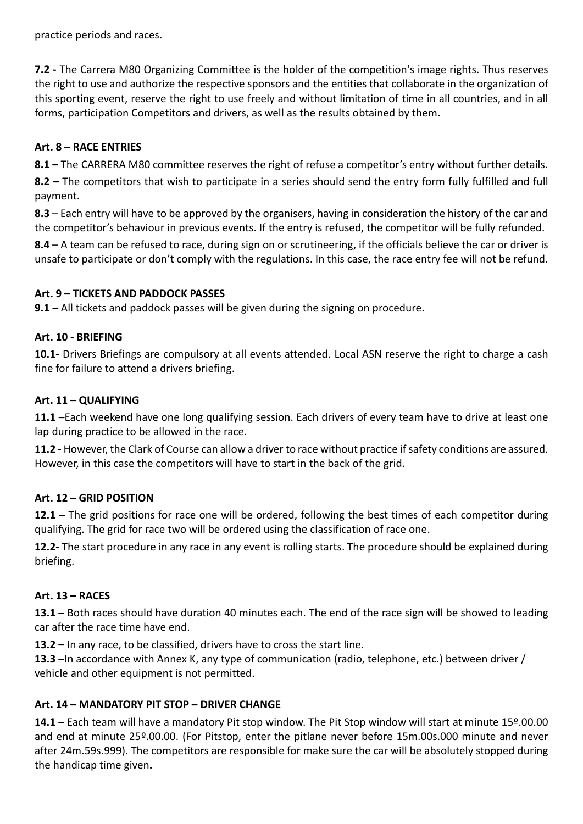practice periods and races.

7.2 - The Carrera M80 Organizing Committee is the holder of the competition's image rights. Thus reserves the right to use and authorize the respective sponsors and the entities that collaborate in the organization of this sporting event, reserve the right to use freely and without limitation of time in all countries, and in all forms, participation Competitors and drivers, as well as the results obtained by them.

# Art. 8 – RACE ENTRIES

8.1 – The CARRERA M80 committee reserves the right of refuse a competitor's entry without further details.

8.2 – The competitors that wish to participate in a series should send the entry form fully fulfilled and full payment.

8.3 – Each entry will have to be approved by the organisers, having in consideration the history of the car and the competitor's behaviour in previous events. If the entry is refused, the competitor will be fully refunded.

8.4 – A team can be refused to race, during sign on or scrutineering, if the officials believe the car or driver is unsafe to participate or don't comply with the regulations. In this case, the race entry fee will not be refund.

## Art. 9 – TICKETS AND PADDOCK PASSES

9.1 – All tickets and paddock passes will be given during the signing on procedure.

## Art. 10 - BRIEFING

10.1- Drivers Briefings are compulsory at all events attended. Local ASN reserve the right to charge a cash fine for failure to attend a drivers briefing.

## Art. 11 – QUALIFYING

11.1 –Each weekend have one long qualifying session. Each drivers of every team have to drive at least one lap during practice to be allowed in the race.

11.2 - However, the Clark of Course can allow a driver to race without practice if safety conditions are assured. However, in this case the competitors will have to start in the back of the grid.

## Art. 12 – GRID POSITION

12.1 – The grid positions for race one will be ordered, following the best times of each competitor during qualifying. The grid for race two will be ordered using the classification of race one.

12.2- The start procedure in any race in any event is rolling starts. The procedure should be explained during briefing.

## Art. 13 – RACES

13.1 – Both races should have duration 40 minutes each. The end of the race sign will be showed to leading car after the race time have end.

13.2 – In any race, to be classified, drivers have to cross the start line.

13.3 –In accordance with Annex K, any type of communication (radio, telephone, etc.) between driver / vehicle and other equipment is not permitted.

## Art. 14 – MANDATORY PIT STOP – DRIVER CHANGE

14.1 – Each team will have a mandatory Pit stop window. The Pit Stop window will start at minute 15º.00.00 and end at minute 25º.00.00. (For Pitstop, enter the pitlane never before 15m.00s.000 minute and never after 24m.59s.999). The competitors are responsible for make sure the car will be absolutely stopped during the handicap time given.